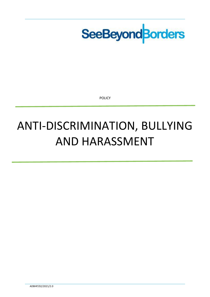

POLICY

# ANTI-DISCRIMINATION, BULLYING AND HARASSMENT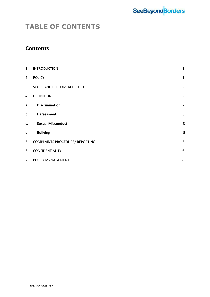

### **TABLE OF CONTENTS**

### **Contents**

| 1. | <b>INTRODUCTION</b>                    | 1              |
|----|----------------------------------------|----------------|
| 2. | <b>POLICY</b>                          | $1\,$          |
| 3. | <b>SCOPE AND PERSONS AFFECTED</b>      | $\overline{2}$ |
| 4. | <b>DEFINITIONS</b>                     | $\overline{2}$ |
| a. | <b>Discrimination</b>                  | $\overline{2}$ |
| b. | Harassment                             | 3              |
| c. | <b>Sexual Misconduct</b>               | $\mathsf 3$    |
| d. | <b>Bullying</b>                        | 5              |
| 5. | <b>COMPLAINTS PROCEDURE/ REPORTING</b> | 5              |
| 6. | CONFIDENTIALITY                        | 6              |
| 7. | POLICY MANAGEMENT                      | 8              |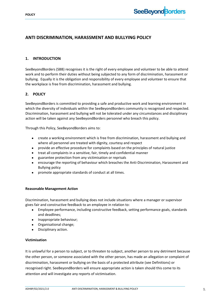

#### <span id="page-2-0"></span>**ANTI DISCRIMINATION, HARASSMENT AND BULLYING POLICY**

#### **1. INTRODUCTION**

SeeBeyondBorders (SBB) recognises it is the right of every employee and volunteer to be able to attend work and to perform their duties without being subjected to any form of discrimination, harassment or bullying. Equally it is the obligation and responsibility of every employee and volunteer to ensure that the workplace is free from discrimination, harassment and bullying.

#### <span id="page-2-1"></span>**2. POLICY**

SeeBeyondBorders is committed to providing a safe and productive work and learning environment in which the diversity of individuals within the SeeBeyondBorders community is recognised and respected. Discrimination, harassment and bullying will not be tolerated under any circumstances and disciplinary action will be taken against any SeeBeyondBorders personnel who breach this policy.

Through this Policy, SeeBeyondBorders aims to:

- create a working environment which is free from discrimination, harassment and bullying and where all personnel are treated with dignity, courtesy and respect
- provide an effective procedure for complaints based on the principles of natural justice
- treat all complaints in a sensitive, fair, timely and confidential manner
- guarantee protection from any victimisation or reprisals
- encourage the reporting of behaviour which breaches the Anti-Discrimination, Harassment and Bullying policy
- promote appropriate standards of conduct at all times.

#### **Reasonable Management Action**

Discrimination, harassment and bullying does not include situations where a manager or supervisor gives fair and constructive feedback to an employee in relation to:

- Employee performance, including constructive feedback, setting performance goals, standards and deadlines;
- Inappropriate behaviour;
- Organisational change;
- Disciplinary action.

#### **Victimisation**

<span id="page-2-2"></span>It is unlawful for a person to subject, or to threaten to subject, another person to any detriment because the other person, or someone associated with the other person, has made an allegation or complaint of discrimination, harassment or bullying on the basis of a protected attribute (see Definitions) or recognised right. SeeBeyondBorders will ensure appropriate action is taken should this come to its attention and will investigate any reports of victimisation.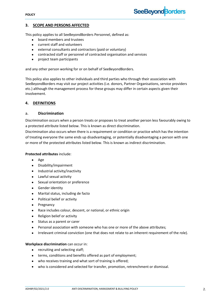#### **3. SCOPE AND PERSONS AFFECTED**

This policy applies to all SeeBeyondBorders Personnel, defined as:

- board members and trustees
- current staff and volunteers
- external consultants and contractors (paid or voluntary)
- contracted staff or personnel of contracted organisation and services
- project team participants

and any other person working for or on behalf of SeeBeyondBorders.

This policy also applies to other individuals and third parties who through their association with SeeBeyondBorders may visit our project activities (i.e. donors, Partner Organisations, service providers etc.) although the management process for these groups may differ in certain aspects given their involvement.

**SeeBeyond Borders** 

#### <span id="page-3-0"></span>**4. DEFINITIONS**

#### a. **Discrimination**

Discrimination occurs when a person treats or proposes to treat another person less favourably owing to a protected attribute listed below. This is known as direct discrimination.

Discrimination also occurs when there is a requirement or condition or practice which has the intention of treating everyone the same ends up disadvantaging, or potentially disadvantaging a person with one or more of the protected attributes listed below. This is known as indirect discrimination.

#### **Protected attributes** include:

- Age
- Disability/impairment
- Industrial activity/inactivity
- Lawful sexual activity
- Sexual orientation or preference
- **•** Gender identity
- Marital status, including de facto
- Political belief or activity
- Pregnancy
- Race includes colour, descent, or national, or ethnic origin
- Religion belief or activity
- Status as a parent or carer
- Personal association with someone who has one or more of the above attributes;
- Irrelevant criminal conviction (one that does not relate to an inherent requirement of the role).

#### **Workplace discrimination** can occur in:

- recruiting and selecting staff;
- terms, conditions and benefits offered as part of employment;
- who receives training and what sort of training is offered;
- who is considered and selected for transfer, promotion, retrenchment or dismissal.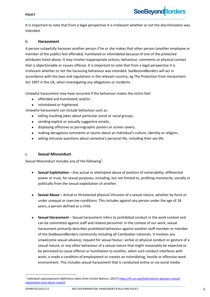#### **POLICY**

It is important to note that from a legal perspective it is irrelevant whether or not the discrimination was intended.

#### b. **Harassment**

A person unlawfully harasses another person if he or she makes that other person (another employee or member of the public) feel offended, humiliated or intimidated because of one of the protected attributes listed above. It may involve inappropriate actions, behaviour, comments or physical contact that is objectionable or causes offence. It is important to note that from a legal perspective it is irrelevant whether or not the harassing behaviour was intended. SeeBeyondBorders will act in accordance with the laws and regulations in the relevant country, eg The Protection from Harassment Act 1997 in the UK, when investigating any allegations or incidents.

Unlawful harassment may have occurred if the behaviour makes the victim feel:

- offended and humiliated; and/or;
- intimidated or frightened.

Unlawful harassment can include behaviour such as:

- telling insulting jokes about particular social or racial groups;
- sending explicit or sexually suggestive emails;
- displaying offensive or pornographic posters or screen savers;
- making derogatory comments or taunts about an individual's culture, identity or religion;
- asking intrusive questions about someone's personal life, including their sex life.

#### c. **Sexual Misconduct**

Sexual Misconduct includes any of the following<sup>1</sup>:

- **Sexual Exploitation** Any actual or attempted abuse of position of vulnerability, differential power or trust, for sexual purposes, including, but not limited to, profiting monetarily, socially or politically from the sexual exploitation of another.
- **Sexual Abuse –** Actual or threatened physical intrusion of a sexual nature, whether by force or under unequal or coercive conditions. This includes against any person under the age of 18 years, a person defined as a child.
- **Sexual Harassment** Sexual harassment refers to prohibited conduct in the work context and can be committed against staff and related personnel. In the context of our work, sexual harassment primarily describes prohibited behaviour against another staff member or member of the SeeBeyondBorders community including all Cambodian nationals. It involves any unwelcome sexual advance, request for sexual favour, verbal or physical conduct or gesture of a sexual nature, or any other behaviour of a sexual nature that might reasonably be expected or be perceived to cause offence or humiliation to another, when such conduct interferes with work, is made a condition of employment or creates an intimidating, hostile or offensive work environment. This includes sexual harassment that is conducted online or via social media.

 $\overline{a}$ 

<sup>1</sup> *Individual subcomponent definitions taken from United Nations. (2017) [https://hr.un.org/materials/un-glossary-sexual](https://hr.un.org/materials/un-glossary-sexual-exploitation-and-abuse-english)[exploitation-and-abuse-english](https://hr.un.org/materials/un-glossary-sexual-exploitation-and-abuse-english)*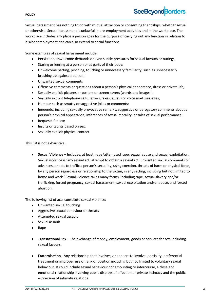# **SeeBeyondBorders**

Sexual harassment has nothing to do with mutual attraction or consenting friendships, whether sexual or otherwise. Sexual harassment is unlawful in pre-employment activities and in the workplace. The workplace includes any place a person goes for the purpose of carrying out any function in relation to his/her employment and can also extend to social functions.

Some examples of sexual harassment include:

- Persistent, unwelcome demands or even subtle pressures for sexual favours or outings;
- Staring or leering at a person or at parts of their body;
- Unwelcome patting, pinching, touching or unnecessary familiarity, such as unnecessarily brushing up against a person;
- Unwanted sexual comments
- Offensive comments or questions about a person's physical appearance, dress or private life;
- Sexually explicit pictures or posters or screen savers (words and images);
- Sexually explicit telephone calls, letters, faxes, emails or voice mail messages;
- Humour such as smutty or suggestive jokes or comments;
- Innuendo, including sexually provocative remarks, suggestive or derogatory comments about a person's physical appearance, inferences of sexual morality, or tales of sexual performance;
- Requests for sex;
- Insults or taunts based on sex:
- Sexually explicit physical contact.

This list is not exhaustive.

 **Sexual Violence** – Includes, at least, rape/attempted rape, sexual abuse and sexual exploitation. Sexual violence is 'any sexual act, attempt to obtain a sexual act, unwanted sexual comments or advances, or acts to traffic a person's sexuality, using coercion, threats of harm or physical force, by any person regardless or relationship to the victim, in any setting, including but not limited to home and work.' Sexual violence takes many forms, including rape, sexual slavery and/or trafficking, forced pregnancy, sexual harassment, sexual exploitation and/or abuse, and forced abortion.

The following list of acts constitute sexual violence:

- Unwanted sexual touching
- Aggressive sexual behaviour or threats
- Attempted sexual assault
- Sexual assault
- Rape
- **Transactional Sex** The exchange of money, employment, goods or services for sex, including sexual favours.
- **Fraternisation** Any relationship that involves, or appears to involve, partiality, preferential treatment or improper use of rank or position including but not limited to voluntary sexual behaviour. It could include sexual behaviour not amounting to intercourse, a close and emotional relationship involving public displays of affection or private intimacy and the public expression of intimate relations.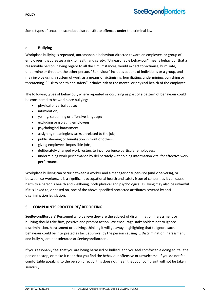Some types of sexual misconduct also constitute offences under the criminal law.

#### <span id="page-6-0"></span>d. **Bullying**

Workplace bullying is repeated, unreasonable behaviour directed toward an employee, or group of employees, that creates a risk to health and safety. "Unreasonable behaviour" means behaviour that a reasonable person, having regard to all the circumstances, would expect to victimise, humiliate, undermine or threaten the other person. "Behaviour" includes actions of individuals or a group, and may involve using a system of work as a means of victimising, humiliating, undermining, punishing or threatening. "Risk to health and safety" includes risk to the mental or physical health of the employee.

The following types of behaviour, where repeated or occurring as part of a pattern of behaviour could be considered to be workplace bullying:

- physical or verbal abuse;
- **•** intimidation;
- yelling, screaming or offensive language;
- excluding or isolating employees;
- psychological harassment;
- assigning meaningless tasks unrelated to the job;
- public shaming or humiliation in front of others;
- giving employees impossible jobs;
- deliberately changed work rosters to inconvenience particular employees;
- undermining work performance by deliberately withholding information vital for effective work performance.

Workplace bullying can occur between a worker and a manager or supervisor (and vice-versa), or between co-workers. It is a significant occupational health and safety issue of concern as it can cause harm to a person's health and wellbeing, both physical and psychological. Bullying may also be unlawful if it is linked to, or based on, one of the above-specified protected attributes covered by antidiscrimination legislation.

#### <span id="page-6-1"></span>**5. COMPLAINTS PROCEDURE/ REPORTING**

SeeBeyondBorders' Personnel who believe they are the subject of discrimination, harassment or bullying should take firm, positive and prompt action. We encourage stakeholders not to ignore discrimination, harassment or bullying, thinking it will go away, highlighting that to ignore such behaviour could be interpreted as tacit approval by the person causing it. Discrimination, harassment and bullying are not tolerated at SeeBeyondBorders.

If you reasonably feel that you are being harassed or bullied, and you feel comfortable doing so, tell the person to stop, or make it clear that you find the behaviour offensive or unwelcome. If you do not feel comfortable speaking to the person directly, this does not mean that your complaint will not be taken seriously.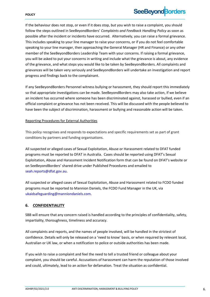# **SeeBeyond Borders**

If the behaviour does not stop, or even if it does stop, but you wish to raise a complaint, you should follow the steps outlined in SeeBeyondBorders' *Complaints and Feedback Handling Policy* as soon as possible after the incident or incidents have occurred. Alternatively, you can raise a formal grievance. This includes speaking to your line manager to raise your concerns, or if you do not feel comfortable speaking to your line manager, then approaching the General Manager (HR and Finance) or any other member of the SeeBeyondBorders Leadership Team with your concerns. If raising a formal grievance, you will be asked to put your concerns in writing and include what the grievance is about, any evidence of the grievance, and what steps you would like to be taken by SeeBeyondBorders. All complaints and grievances will be taken very seriously and SeeBeyondBorders will undertake an investigation and report progress and findings back to the complainant.

If any SeeBeyondBorders Personnel witness bullying or harassment, they should report this immediately so that appropriate investigations can be made. SeeBeyondBorders may also take action, if we believe an incident has occurred where someone has been discriminated against, harassed or bullied, even if an official complaint or grievance has not been received. This will be discussed with the people believed to have been the subject of discrimination, harassment or bullying and reasonable action will be taken.

#### Reporting Procedures for External Authorities

This policy recognises and responds to expectations and specific requirements set as part of grant conditions by partners and funding organisations.

All suspected or alleged cases of Sexual Exploitation, Abuse or Harassment related to DFAT funded programs must be reported to DFAT in Australia. Cases should be reported using DFAT's Sexual Exploitation, Abuse and Harassment Incident Notification form that can be found on DFAT's website or on SeeBeyondBorders' shared drive under Published Procedures and emailed to [seah.reports@dfat.gov.au.](mailto:seah.reports@dfat.gov.au)

All suspected or alleged cases of Sexual Exploitation, Abuse and Harassment related to FCDO funded programs must be reported to Mannion Daniels, the FCDO Fund Manager in the UK, via ukaidsafeguarding@manniondaniels.com.

#### <span id="page-7-0"></span>**6. CONFIDENTIALITY**

SBB will ensure that any concern raised is handled according to the principles of confidentiality, safety, impartiality, thoroughness, timeliness and accuracy.

All complaints and reports, and the names of people involved, will be handled in the strictest of confidence. Details will only be released on a 'need to know' basis, or when required by relevant local, Australian or UK law, or when a notification to police or outside authorities has been made.

If you wish to raise a complaint and feel the need to tell a trusted friend or colleague about your complaint, you should be careful. Accusations of harassment can harm the reputation of those involved and could, ultimately, lead to an action for defamation. Treat the situation as confidential.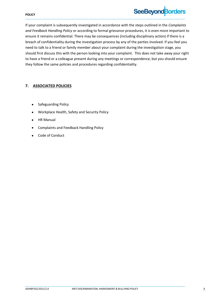#### **POLICY**

### **SeeBeyond Borders**

If your complaint is subsequently investigated in accordance with the steps outlined in the *Complaints and Feedback Handling Policy* or according to formal grievance procedures, it is even more important to ensure it remains confidential. There may be consequences (including disciplinary action) if there is a breach of confidentiality during the investigation process by any of the parties involved. If you feel you need to talk to a friend or family member about your complaint during the investigation stage, you should first discuss this with the person looking into your complaint. This does not take away your right to have a friend or a colleague present during any meetings or correspondence, but you should ensure they follow the same policies and procedures regarding confidentiality.

#### <span id="page-8-0"></span>**7. ASSOCIATED POLICIES**

- Safeguarding Policy
- Workplace Health, Safety and Security Policy
- HR Manual
- Complaints and Feedback Handling Policy
- Code of Conduct